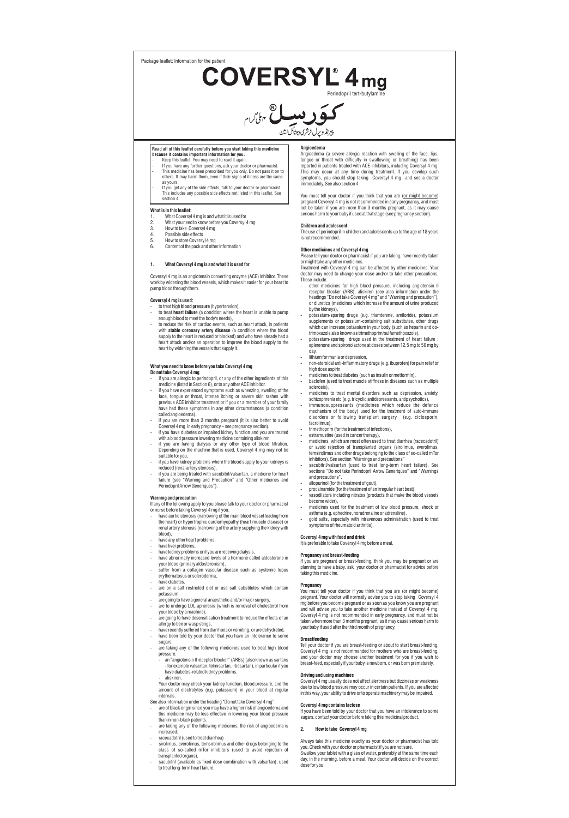Package leaflet: Information for the patient

COVERSYL<sup>®</sup> 4 mg



# **Read all of this leaflet carefully before you start taking this medicine**

- because it contains important information for you.<br>- Keep this leaflet. You may need to read it again.<br>- If you have any further questions, ask your doctor or pharmacist.<br>- This medicine has been prescribed for you only. D
- as yours. If you get any of the side effects, talk to your doctor or pharmacist. This includes any possible side effects not listed in this leaflet. See section 4.

## **What is in this leaflet:**

- 1. What Coversyl 4 mg is and what it is used for
- What you need to know before you Coversyl 4 mg How to take Coversyl 4 mg
- 
- 4. Possible side effects 5. How to store Coversyl 4 mg 6. Content of the pack and other information
- 

## **1. What Coversyl 4 mg is and what it is used for**

Coversyl 4 mg is an angiotensin converting enzyme (ACE) inhibitor. These work by widening the blood vessels, which makes it easier for your heart to pump blood through them.

### **Coversyl 4 mg is used:**

- to treat high **blood pressure** (hypertension), - to treat **heart failure** (a condition where the heart is unable to pump
- enough blood to meet the body's needs), - to reduce the risk of cardiac events, such as heart attack, in patients with **stable coronary artery disease** (a condition where the blood supply to the heart is reduced or blocked) and who have already had a heart attack and/or an operation to improve the blood supply to the heart by widening the vessels that supply it.

## **What you need to know before you take Coversyl 4 mg**

- **Do not take Coversyl 4 mg**
- if you are allergic to perindopril, or any of the other ingredients of this medicine (listed in Section 6), or to any other ACE inhibitor. if you have experienced symptoms such as wheezing, swelling of the face, tongue or throat, intense itching or severe skin rashes with previous ACF inhibitor treatment or if you or a member of your family
- previous ACE inhibitor treatment or if you or a member of your family have had these symptoms in any other circumstances (a condition called angioedema). if you are more than 3 months pregnant (It is also better to avoid
- 
- Coversyl 4 mg in early pregnancy see pregnancy section).<br>Figure 1 with a blood pressure lowering medicine containing aliskien.<br>With a blood pressure lowering medicine containing aliskien.<br>If you are having dialysis or an
- suitable for you, if you have kidney problems where the blood supply to your kidneys is
- 
- reduced (renal artery stenosis). if you are being treated with sacubitril/valsartan, a medicine for heart failure (see "Warning and Precaution" and "Other medicines and failure (see "Warning and Pre<br>Perindopril Arrow Generiques").

## **Warning and precaution**

- If any of the following apply to you please talk to your doctor or pharmacist or nurse before taking Coversyl 4 mg if you: have aortic stenosis (narrowing of the main blood vessel leading from
- the heart) or hypertrophic cardiomyopathy (heart muscle disease) or renal artery stenosis (narrowing of the artery supplying the kidney with blood),
- have any other heart problems
- have liver problems,
- have kidney problems or if you are receiving dialysis, have abnormally increased levels of a hormone called aldosterone in
- your blood (primary aldosteronism), suffer from a collagen vascular disease such as systemic lupus
- erythematosus or scleroderma, have diabetes
- are on a salt restricted diet or use salt substitutes which contain potassium,
- 
- are going to have a general anaesthetic and/or major surgery, are to undergo LDL apheresis (which is removal of cholesterol from
- your blood by a machine), are going to have desensitisation treatment to reduce the effects of an
- allergy to bee or wasp stings, have recently suffered from diarrhoea or vomiting, or are dehydrated, have been told by your doctor that you have an intolerance to some
- sugars, are taking any of the following medicines used to treat high blood
	- pressure: an "angiotensin II receptor blocker" (ARBs) (also known as sartans - for example valsartan, telmisartan, irbesartan), in particular if you have diabetes-related kidney problems.

aliskiren. Your doctor may check your kidney function, blood pressure, and the amount of electrolytes (e.g. potassium) in your blood at regular

intervals. See also information under the heading "Do not take Coversyl 4 mg".

- are of black origin since you may have a higher risk of angioedema and this medicine may be less effective in lowering your blood pressure than in non-black patients. are taking any of the following medicines, the risk of angioedema is
- increased - racecadotril (used to treat diarrhea)
- sirolimus, everolimus, temsirolimus and other drugs belonging to the class of so-called mTor inhibitors (used to avoid rejection of
- transplanted organs), sacubitril (available as fixed-dose combination with valsartan), used to treat long-term heart failure.

**Angioedema** Angioedema (a severe allergic reaction with swelling of the face, lips, tongue or throat with difficulty in swallowing or breathing) has been<br>reported in patients treated with ACE inhibitors, including Coversyl 4 mg.<br>This may occur at any time during treatment. If you develop such<br>symptoms, yo

You must tell your doctor if you think that you are (<u>or might become)</u><br>pregnant Coversyl 4 mg is not recommended in early pregnancy, and must<br>not be taken if you are more than 3 months pregnant, as it may cause serious harm to your baby if used at that stage (see pregnancy section).

**Children and adolescent** .......<br>pril in children and adolescents up to the age of 18 years is not recommended.

**Other medicines and Coversyl 4 mg**<br>Please tell your doctor or pharmacist if you are taking, have recently taken<br>or might take any other medicines.<br>Treatment with Coversyl 4 mg can be affected by other medicines. Your

doctor may need to change your dose and/or to take other precautions. These include:

- other medicines for high blood pressure, including angiotensin II<br>receptor blocker (ARB), aliskiren (see also information under the<br>headings "Do nottake Coversyl 4 mg" and "Warning and precaution"),<br>or diuretics (medicin by the kidneys).
- potassium-sparing drugs (e.g. triamterene, amiloride), potassium supplements or potassium-containing salt substitutes, other drugs which can increase potassium in your body (such as heparin and cotrimoxazole also known as trimethoprim/sulfamethoxazole),
- potassium-sparing drugs used in the treatment of heart failure : eplerenone and spironolactone at doses between 12,5 mg to 50 mg by day, lithium for mania or depression,
- non-steroidal anti-inflammatory drugs (e.g. ibuprofen) for pain relief or high dose aspirin,
- medicines to treat diabetes (such as insulin or metformin) - baclofen (used to treat muscle stiffness in diseases such as multiple
- sclerosis) - medicines to treat mental disorders such as depression, anxiety,
- schizophrenia etc (e.g. tricyclic antidepressants, antipsychotics), immunosuppressants (medicines which reduce the defence mechanism of the body) used for the treatment of auto-immune disorders or following transplant surgery (e.g. ciclosporin, tacrolimus),
- trimethoprim (for the treatment of infections),
- 
- estramustine (used in cancer therapy), medicines, which are most often used to treat diarrhea (racecadotril) or avoid rejection of transplanted organs (sirolimus, everolimus, temsirolimus and other drugs belonging to the class of so-called mTor
- inhibitors). See section "Warnings and precautions" sacubitril/valsartan (used to treat long-term heart failure). See sections "Do not take Perindopril Arrow Generiques" and "Warnings and precautions
- allopurinol (for the treatment of gout), procainamide (for the treatment of an irregular heart beat),
- 
- .<br>vasodilators including nitrates (products that make the blood vessels become wider), - medicines used for the treatment of low blood pressure, shock or
- asthma (e.g. ephedrine, noradrenaline or adrenaline). gold salts, especially with intravenous administration (used to treat symptoms of rheumatoid arthritis).

## **Coversyl 4 mg with food and drink**

It is preferable to take Coversyl 4 mg before a meal.

**Pregnancy and breast-feeding**<br>If you are pregnant or breast-feeding, think you may be pregnant or are<br>planning to have a baby, ask your doctor or pharmacist for advice before taking this medicine.

### **Pregnancy**

You must tell your doctor if you think that you are (or might become) pregnant. Your doctor will normally advise you to stop taking Coversyl 4 mg before you become pregnant or as soon as you know you are pregnant and will advise you to take another medicine instead of Coversyl 4 mg. Coversyl 4 mg is not recommended in early pregnancy, and must not be taken when more than 3 months pregnant, as it may cause serious harm to your baby if used after the third month of pregnancy.

## **Breastfeeding**

Tell your doctor if you are breast-feeding or about to start breast-feeding. Coversyl 4 mg is not recommended for mothers who are breast-feeding, and your doctor may choose another treatment for you if you wish to breast-feed, especially if your baby is newborn, or was born prematurely.

## **Driving and using machines**

Coversyl 4 mg usually does not affect alertness but dizziness or weakness<br>due to low blood pressure may occur in certain patients. If you are affected<br>in this way, your ability to drive or to operate machinery may be impai **Coversyl 4 mg contains lactose**

If you have been told by your doctor that you have an intolerance to some sugars, contact your doctor before taking this medicinal product.

### **2. How to take Coversyl 4 mg**

Always take this medicine exactly as your doctor or pharmacist has told you. Check with your doctor or pharmacist if you are not sure. Swallow your tablet with a glass of water, preferably at the same time each day, in the morning, before a meal. Your doctor will decide on the correct dose for you.